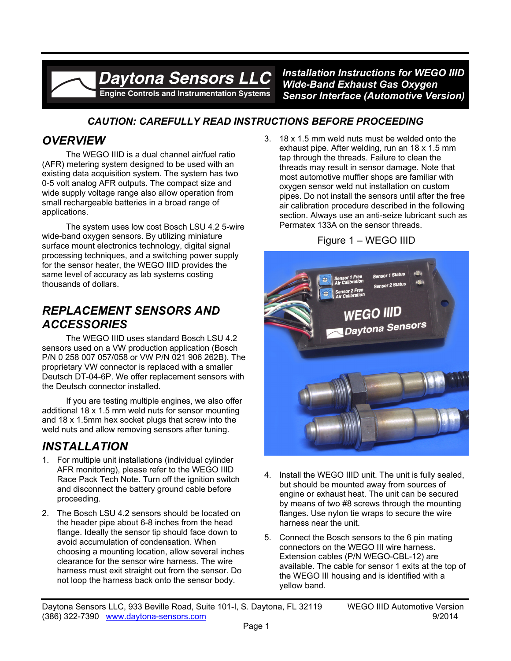# **Davtona Sensors LLC** Engine Controls and Instrumentation Systems

*Installation Instructions for WEGO IIID Wide-Band Exhaust Gas Oxygen Sensor Interface (Automotive Version)*

### *CAUTION: CAREFULLY READ INSTRUCTIONS BEFORE PROCEEDING*

# *OVERVIEW*

The WEGO IIID is a dual channel air/fuel ratio (AFR) metering system designed to be used with an existing data acquisition system. The system has two 0-5 volt analog AFR outputs. The compact size and wide supply voltage range also allow operation from small rechargeable batteries in a broad range of applications.

The system uses low cost Bosch LSU 4.2 5-wire wide-band oxygen sensors. By utilizing miniature surface mount electronics technology, digital signal processing techniques, and a switching power supply for the sensor heater, the WEGO IIID provides the same level of accuracy as lab systems costing thousands of dollars.

## *REPLACEMENT SENSORS AND ACCESSORIES*

The WEGO IIID uses standard Bosch LSU 4.2 sensors used on a VW production application (Bosch P/N 0 258 007 057/058 or VW P/N 021 906 262B). The proprietary VW connector is replaced with a smaller Deutsch DT-04-6P. We offer replacement sensors with the Deutsch connector installed.

If you are testing multiple engines, we also offer additional 18 x 1.5 mm weld nuts for sensor mounting and 18 x 1.5mm hex socket plugs that screw into the weld nuts and allow removing sensors after tuning.

# *INSTALLATION*

- 1. For multiple unit installations (individual cylinder AFR monitoring), please refer to the WEGO IIID Race Pack Tech Note. Turn off the ignition switch and disconnect the battery ground cable before proceeding.
- 2. The Bosch LSU 4.2 sensors should be located on the header pipe about 6-8 inches from the head flange. Ideally the sensor tip should face down to avoid accumulation of condensation. When choosing a mounting location, allow several inches clearance for the sensor wire harness. The wire harness must exit straight out from the sensor. Do not loop the harness back onto the sensor body.

3. 18 x 1.5 mm weld nuts must be welded onto the exhaust pipe. After welding, run an 18 x 1.5 mm tap through the threads. Failure to clean the threads may result in sensor damage. Note that most automotive muffler shops are familiar with oxygen sensor weld nut installation on custom pipes. Do not install the sensors until after the free air calibration procedure described in the following section. Always use an anti-seize lubricant such as Permatex 133A on the sensor threads.

#### Figure 1 – WEGO IIID



- 4. Install the WEGO IIID unit. The unit is fully sealed, but should be mounted away from sources of engine or exhaust heat. The unit can be secured by means of two #8 screws through the mounting flanges. Use nylon tie wraps to secure the wire harness near the unit.
- 5. Connect the Bosch sensors to the 6 pin mating connectors on the WEGO III wire harness. Extension cables (P/N WEGO-CBL-12) are available. The cable for sensor 1 exits at the top of the WEGO III housing and is identified with a yellow band.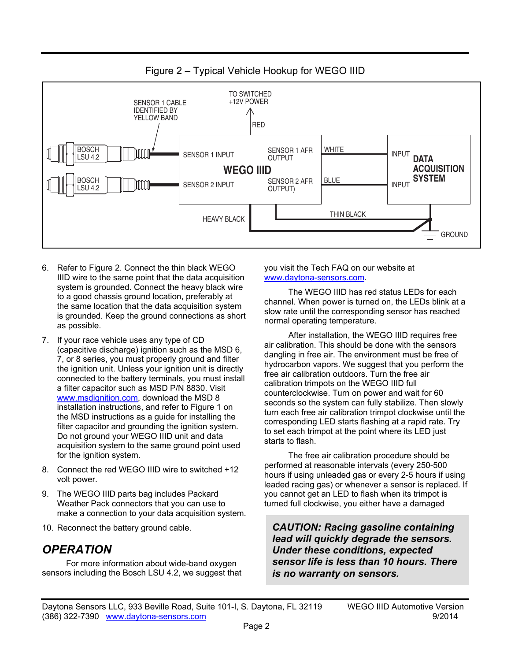

Figure 2 – Typical Vehicle Hookup for WEGO IIID

- 6. Refer to Figure 2. Connect the thin black WEGO IIID wire to the same point that the data acquisition system is grounded. Connect the heavy black wire to a good chassis ground location, preferably at the same location that the data acquisition system is grounded. Keep the ground connections as short as possible.
- 7. If your race vehicle uses any type of CD (capacitive discharge) ignition such as the MSD 6, 7, or 8 series, you must properly ground and filter the ignition unit. Unless your ignition unit is directly connected to the battery terminals, you must install a filter capacitor such as MSD P/N 8830. Visit www.msdignition.com, download the MSD 8 installation instructions, and refer to Figure 1 on the MSD instructions as a guide for installing the filter capacitor and grounding the ignition system. Do not ground your WEGO IIID unit and data acquisition system to the same ground point used for the ignition system.
- 8. Connect the red WEGO IIID wire to switched +12 volt power.
- 9. The WEGO IIID parts bag includes Packard Weather Pack connectors that you can use to make a connection to your data acquisition system.
- 10. Reconnect the battery ground cable.

#### *OPERATION*

For more information about wide-band oxygen sensors including the Bosch LSU 4.2, we suggest that you visit the Tech FAQ on our website at www.daytona-sensors.com.

The WEGO IIID has red status LEDs for each channel. When power is turned on, the LEDs blink at a slow rate until the corresponding sensor has reached normal operating temperature.

After installation, the WEGO IIID requires free air calibration. This should be done with the sensors dangling in free air. The environment must be free of hydrocarbon vapors. We suggest that you perform the free air calibration outdoors. Turn the free air calibration trimpots on the WEGO IIID full counterclockwise. Turn on power and wait for 60 seconds so the system can fully stabilize. Then slowly turn each free air calibration trimpot clockwise until the corresponding LED starts flashing at a rapid rate. Try to set each trimpot at the point where its LED just starts to flash.

The free air calibration procedure should be performed at reasonable intervals (every 250-500 hours if using unleaded gas or every 2-5 hours if using leaded racing gas) or whenever a sensor is replaced. If you cannot get an LED to flash when its trimpot is turned full clockwise, you either have a damaged

*CAUTION: Racing gasoline containing lead will quickly degrade the sensors. Under these conditions, expected sensor life is less than 10 hours. There is no warranty on sensors.*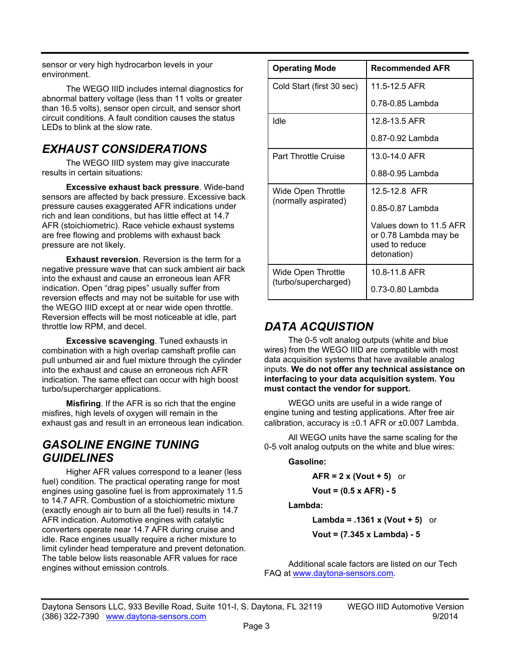sensor or very high hydrocarbon levels in your environment.

The WEGO IIID includes internal diagnostics for abnormal battery voltage (less than 11 volts or greater than 16.5 volts), sensor open circuit, and sensor short circuit conditions. A fault condition causes the status LEDs to blink at the slow rate.

# *EXHAUST CONSIDERATIONS*

The WEGO IIID system may give inaccurate results in certain situations:

**Excessive exhaust back pressure**. Wide-band sensors are affected by back pressure. Excessive back pressure causes exaggerated AFR indications under rich and lean conditions, but has little effect at 14.7 AFR (stoichiometric). Race vehicle exhaust systems are free flowing and problems with exhaust back pressure are not likely.

**Exhaust reversion**. Reversion is the term for a negative pressure wave that can suck ambient air back into the exhaust and cause an erroneous lean AFR indication. Open "drag pipes" usually suffer from reversion effects and may not be suitable for use with the WEGO IIID except at or near wide open throttle. Reversion effects will be most noticeable at idle, part throttle low RPM, and decel.

**Excessive scavenging**. Tuned exhausts in combination with a high overlap camshaft profile can pull unburned air and fuel mixture through the cylinder into the exhaust and cause an erroneous rich AFR indication. The same effect can occur with high boost turbo/supercharger applications.

**Misfiring**. If the AFR is so rich that the engine misfires, high levels of oxygen will remain in the exhaust gas and result in an erroneous lean indication.

### *GASOLINE ENGINE TUNING GUIDELINES*

Higher AFR values correspond to a leaner (less fuel) condition. The practical operating range for most engines using gasoline fuel is from approximately 11.5 to 14.7 AFR. Combustion of a stoichiometric mixture (exactly enough air to burn all the fuel) results in 14.7 AFR indication. Automotive engines with catalytic converters operate near 14.7 AFR during cruise and idle. Race engines usually require a richer mixture to limit cylinder head temperature and prevent detonation. The table below lists reasonable AFR values for race engines without emission controls.

| <b>Operating Mode</b>                      | <b>Recommended AFR</b>                                                            |
|--------------------------------------------|-----------------------------------------------------------------------------------|
| Cold Start (first 30 sec)                  | 11 5-12 5 AFR                                                                     |
|                                            | 0.78-0.85 Lambda                                                                  |
| Idle                                       | 12.8-13.5 AFR                                                                     |
|                                            | $0.87 - 0.92$ Lambda                                                              |
| <b>Part Throttle Cruise</b>                | 13.0-14.0 AFR                                                                     |
|                                            | 0.88-0.95 Lambda                                                                  |
| Wide Open Throttle<br>(normally aspirated) | 12 5-12 8 AFR                                                                     |
|                                            | 0.85-0.87 Lambda                                                                  |
|                                            | Values down to 11.5 AFR<br>or 0.78 Lambda may be<br>used to reduce<br>detonation) |
| Wide Open Throttle<br>(turbo/supercharged) | 10.8-11.8 AFR                                                                     |
|                                            | 0.73-0.80 Lambda                                                                  |

# *DATA ACQUISTION*

The 0-5 volt analog outputs (white and blue wires) from the WEGO IIID are compatible with most data acquisition systems that have available analog inputs. **We do not offer any technical assistance on interfacing to your data acquisition system. You must contact the vendor for support.** 

WEGO units are useful in a wide range of engine tuning and testing applications. After free air calibration, accuracy is  $\pm 0.1$  AFR or  $\pm 0.007$  Lambda.

All WEGO units have the same scaling for the 0-5 volt analog outputs on the white and blue wires:

#### **Gasoline:**

**AFR = 2 x (Vout + 5)** or

**Vout = (0.5 x AFR) - 5** 

**Lambda:** 

**Lambda = .1361 x (Vout + 5)** or

**Vout = (7.345 x Lambda) - 5** 

Additional scale factors are listed on our Tech FAQ at www.daytona-sensors.com.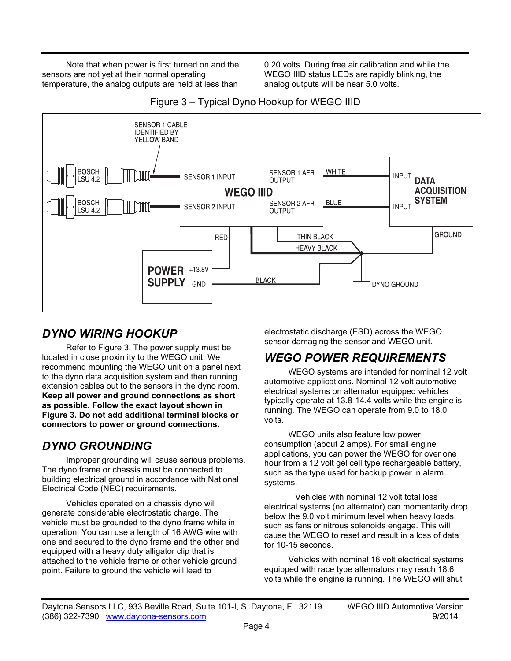Note that when power is first turned on and the sensors are not yet at their normal operating temperature, the analog outputs are held at less than

0.20 volts. During free air calibration and while the WEGO IIID status LEDs are rapidly blinking, the analog outputs will be near 5.0 volts.



Figure 3 – Typical Dyno Hookup for WEGO IIID

# *DYNO WIRING HOOKUP*

Refer to Figure 3. The power supply must be located in close proximity to the WEGO unit. We recommend mounting the WEGO unit on a panel next to the dyno data acquisition system and then running extension cables out to the sensors in the dyno room. **Keep all power and ground connections as short as possible. Follow the exact layout shown in Figure 3. Do not add additional terminal blocks or connectors to power or ground connections.** 

# *DYNO GROUNDING*

Improper grounding will cause serious problems. The dyno frame or chassis must be connected to building electrical ground in accordance with National Electrical Code (NEC) requirements.

Vehicles operated on a chassis dyno will generate considerable electrostatic charge. The vehicle must be grounded to the dyno frame while in operation. You can use a length of 16 AWG wire with one end secured to the dyno frame and the other end equipped with a heavy duty alligator clip that is attached to the vehicle frame or other vehicle ground point. Failure to ground the vehicle will lead to

electrostatic discharge (ESD) across the WEGO sensor damaging the sensor and WEGO unit.

# *WEGO POWER REQUIREMENTS*

WEGO systems are intended for nominal 12 volt automotive applications. Nominal 12 volt automotive electrical systems on alternator equipped vehicles typically operate at 13.8-14.4 volts while the engine is running. The WEGO can operate from 9.0 to 18.0 volts.

WEGO units also feature low power consumption (about 2 amps). For small engine applications, you can power the WEGO for over one hour from a 12 volt gel cell type rechargeable battery, such as the type used for backup power in alarm systems.

 Vehicles with nominal 12 volt total loss electrical systems (no alternator) can momentarily drop below the 9.0 volt minimum level when heavy loads, such as fans or nitrous solenoids engage. This will cause the WEGO to reset and result in a loss of data for 10-15 seconds.

Vehicles with nominal 16 volt electrical systems equipped with race type alternators may reach 18.6 volts while the engine is running. The WEGO will shut